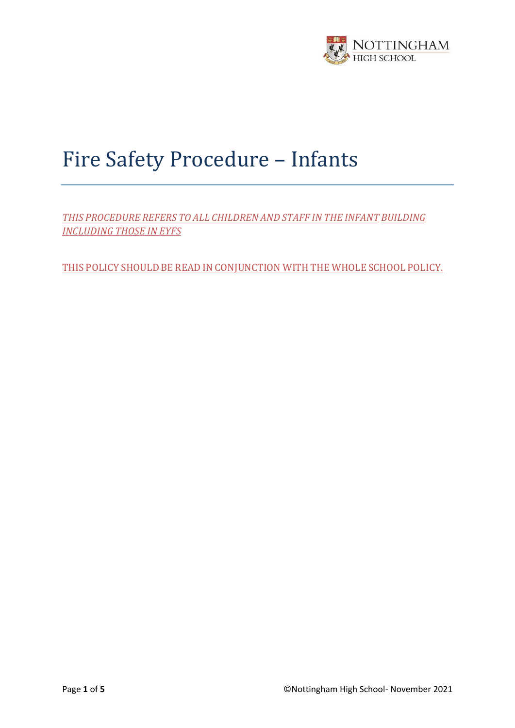

# Fire Safety Procedure – Infants

*THIS PROCEDURE REFERS TO ALL CHILDREN AND STAFF IN THE INFANT BUILDING INCLUDING THOSE IN EYFS*

THIS POLICY SHOULD BE READ IN CONJUNCTION WITH THE WHOLE SCHOOL POLICY.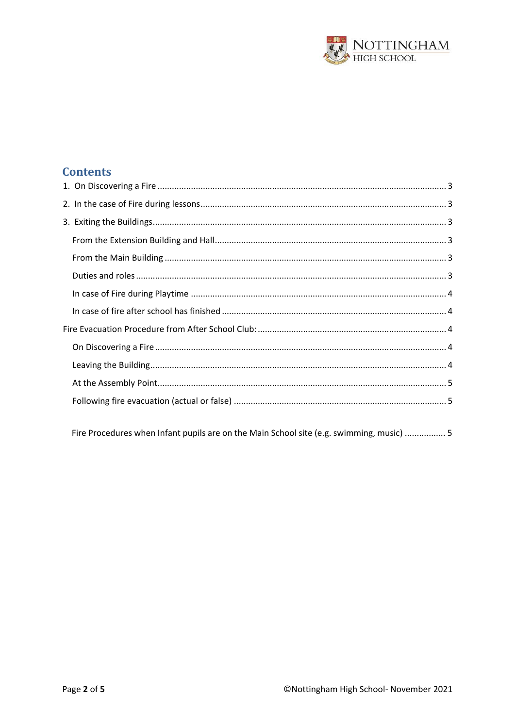

# **Contents**

Fire Procedures when Infant pupils are on the Main School site (e.g. swimming, music) ................ 5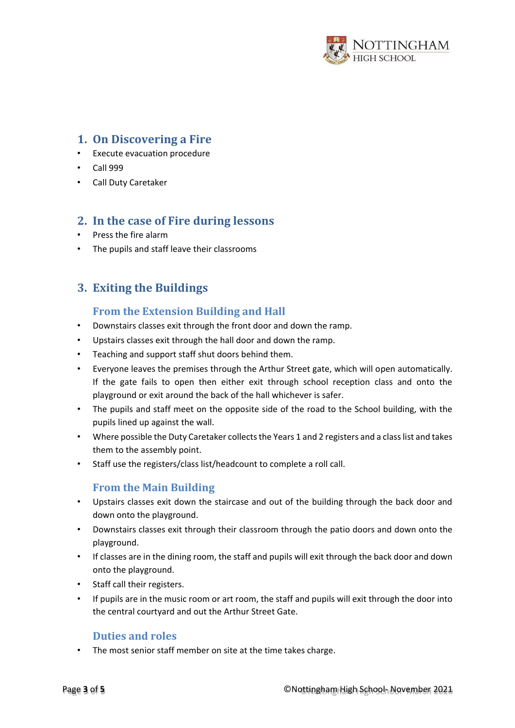

## <span id="page-2-0"></span>**1. On Discovering a Fire**

- Execute evacuation procedure
- Call 999
- Call Duty Caretaker

## <span id="page-2-1"></span>**2. In the case of Fire during lessons**

- Press the fire alarm
- The pupils and staff leave their classrooms

## <span id="page-2-2"></span>**3. Exiting the Buildings**

## **From the Extension Building and Hall**

- <span id="page-2-3"></span>• Downstairs classes exit through the front door and down the ramp.
- Upstairs classes exit through the hall door and down the ramp.
- Teaching and support staff shut doors behind them.
- Everyone leaves the premises through the Arthur Street gate, which will open automatically. If the gate fails to open then either exit through school reception class and onto the playground or exit around the back of the hall whichever is safer.
- The pupils and staff meet on the opposite side of the road to the School building, with the pupils lined up against the wall.
- Where possible the Duty Caretaker collects the Years 1 and 2 registers and a class list and takes them to the assembly point.
- Staff use the registers/class list/headcount to complete a roll call.

## **From the Main Building**

- <span id="page-2-4"></span>• Upstairs classes exit down the staircase and out of the building through the back door and down onto the playground.
- Downstairs classes exit through their classroom through the patio doors and down onto the playground.
- If classes are in the dining room, the staff and pupils will exit through the back door and down onto the playground.
- Staff call their registers.
- If pupils are in the music room or art room, the staff and pupils will exit through the door into the central courtyard and out the Arthur Street Gate.

#### **Duties and roles**

<span id="page-2-5"></span>• The most senior staff member on site at the time takes charge.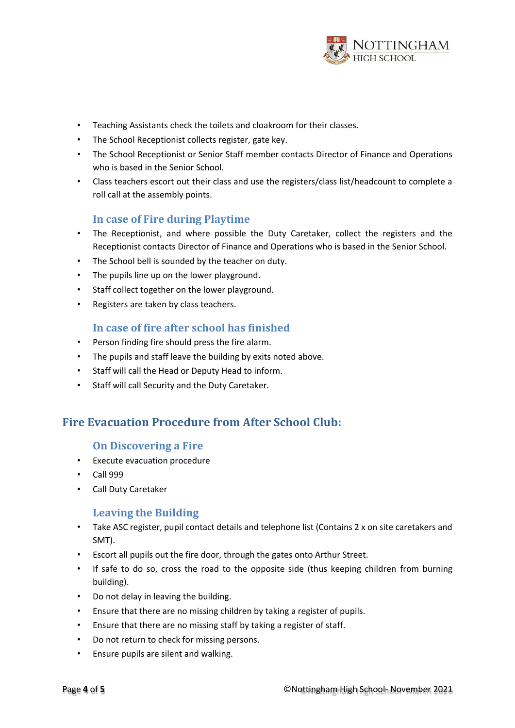

- Teaching Assistants check the toilets and cloakroom for their classes.
- The School Receptionist collects register, gate key.
- The School Receptionist or Senior Staff member contacts Director of Finance and Operations who is based in the Senior School.
- Class teachers escort out their class and use the registers/class list/headcount to complete a roll call at the assembly points.

#### **In case of Fire during Playtime**

- <span id="page-3-0"></span>• The Receptionist, and where possible the Duty Caretaker, collect the registers and the Receptionist contacts Director of Finance and Operations who is based in the Senior School.
- The School bell is sounded by the teacher on duty.
- The pupils line up on the lower playground.
- Staff collect together on the lower playground.
- Registers are taken by class teachers.

#### **In case of fire after school has finished**

- <span id="page-3-1"></span>• Person finding fire should press the fire alarm.
- The pupils and staff leave the building by exits noted above.
- Staff will call the Head or Deputy Head to inform.
- Staff will call Security and the Duty Caretaker.

## <span id="page-3-3"></span><span id="page-3-2"></span>**Fire Evacuation Procedure from After School Club:**

#### **On Discovering a Fire**

- Execute evacuation procedure
- Call 999
- Call Duty Caretaker

#### **Leaving the Building**

- <span id="page-3-4"></span>• Take ASC register, pupil contact details and telephone list (Contains 2 x on site caretakers and SMT).
- Escort all pupils out the fire door, through the gates onto Arthur Street.
- If safe to do so, cross the road to the opposite side (thus keeping children from burning building).
- Do not delay in leaving the building.
- Ensure that there are no missing children by taking a register of pupils.
- Ensure that there are no missing staff by taking a register of staff.
- Do not return to check for missing persons.
- Ensure pupils are silent and walking.